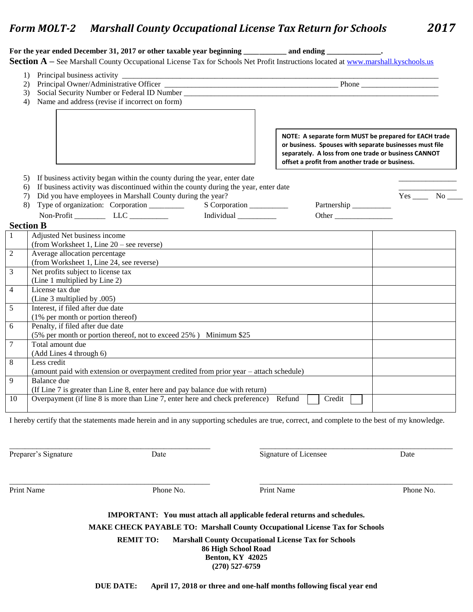## *Form MOLT-2 Marshall County Occupational License Tax Return for Schools 2017*

|                  | For the year ended December 31, 2017 or other taxable year beginning ____________ and ending _____________.<br><b>Section A</b> – See Marshall County Occupational License Tax for Schools Net Profit Instructions located at www.marshall.kyschools.us |                                                                                                                                                                                                                             |        |  |
|------------------|---------------------------------------------------------------------------------------------------------------------------------------------------------------------------------------------------------------------------------------------------------|-----------------------------------------------------------------------------------------------------------------------------------------------------------------------------------------------------------------------------|--------|--|
| 1)               |                                                                                                                                                                                                                                                         |                                                                                                                                                                                                                             |        |  |
| 2)               |                                                                                                                                                                                                                                                         |                                                                                                                                                                                                                             |        |  |
| 3)               |                                                                                                                                                                                                                                                         |                                                                                                                                                                                                                             |        |  |
| 4)               | Name and address (revise if incorrect on form)                                                                                                                                                                                                          |                                                                                                                                                                                                                             |        |  |
|                  |                                                                                                                                                                                                                                                         | NOTE: A separate form MUST be prepared for EACH trade<br>or business. Spouses with separate businesses must file<br>separately. A loss from one trade or business CANNOT<br>offset a profit from another trade or business. |        |  |
| 5)               | If business activity began within the county during the year, enter date                                                                                                                                                                                |                                                                                                                                                                                                                             |        |  |
| 6)               | If business activity was discontinued within the county during the year, enter date                                                                                                                                                                     |                                                                                                                                                                                                                             |        |  |
| 7)               | Did you have employees in Marshall County during the year?                                                                                                                                                                                              |                                                                                                                                                                                                                             | Yes No |  |
| 8)               | Type of organization: Corporation _________<br>S Corporation                                                                                                                                                                                            | Partnership                                                                                                                                                                                                                 |        |  |
|                  | Non-Profit $LLC$<br>Individual                                                                                                                                                                                                                          | Other $\qquad \qquad$                                                                                                                                                                                                       |        |  |
| <b>Section B</b> |                                                                                                                                                                                                                                                         |                                                                                                                                                                                                                             |        |  |
| $\mathbf{1}$     | Adjusted Net business income                                                                                                                                                                                                                            |                                                                                                                                                                                                                             |        |  |
|                  | (from Worksheet 1, Line 20 – see reverse)                                                                                                                                                                                                               |                                                                                                                                                                                                                             |        |  |
| $\overline{2}$   | Average allocation percentage                                                                                                                                                                                                                           |                                                                                                                                                                                                                             |        |  |
|                  | (from Worksheet 1, Line 24, see reverse)                                                                                                                                                                                                                |                                                                                                                                                                                                                             |        |  |
| $\overline{3}$   | Net profits subject to license tax                                                                                                                                                                                                                      |                                                                                                                                                                                                                             |        |  |
|                  | (Line 1 multiplied by Line 2)                                                                                                                                                                                                                           |                                                                                                                                                                                                                             |        |  |
| $\overline{4}$   | License tax due                                                                                                                                                                                                                                         |                                                                                                                                                                                                                             |        |  |
| $\overline{5}$   | (Line 3 multiplied by .005)<br>Interest, if filed after due date                                                                                                                                                                                        |                                                                                                                                                                                                                             |        |  |
|                  |                                                                                                                                                                                                                                                         |                                                                                                                                                                                                                             |        |  |
| 6                | (1% per month or portion thereof)<br>Penalty, if filed after due date                                                                                                                                                                                   |                                                                                                                                                                                                                             |        |  |
|                  | (5% per month or portion thereof, not to exceed 25%) Minimum \$25                                                                                                                                                                                       |                                                                                                                                                                                                                             |        |  |
| $\overline{7}$   | Total amount due                                                                                                                                                                                                                                        |                                                                                                                                                                                                                             |        |  |
|                  | (Add Lines 4 through 6)                                                                                                                                                                                                                                 |                                                                                                                                                                                                                             |        |  |
| $\overline{8}$   | Less credit                                                                                                                                                                                                                                             |                                                                                                                                                                                                                             |        |  |
|                  | (amount paid with extension or overpayment credited from prior year – attach schedule)                                                                                                                                                                  |                                                                                                                                                                                                                             |        |  |
| $\overline{9}$   | Balance due                                                                                                                                                                                                                                             |                                                                                                                                                                                                                             |        |  |
|                  | (If Line 7 is greater than Line 8, enter here and pay balance due with return)                                                                                                                                                                          |                                                                                                                                                                                                                             |        |  |
| 10               | Overpayment (if line 8 is more than Line 7, enter here and check preference) Refund                                                                                                                                                                     | Credit                                                                                                                                                                                                                      |        |  |

I hereby certify that the statements made herein and in any supporting schedules are true, correct, and complete to the best of my knowledge.

\_\_\_\_\_\_\_\_\_\_\_\_\_\_\_\_\_\_\_\_\_\_\_\_\_\_\_\_\_\_\_\_\_\_\_\_\_\_\_\_\_\_\_\_\_\_\_\_\_\_\_\_ \_\_\_\_\_\_\_\_\_\_\_\_\_\_\_\_\_\_\_\_\_\_\_\_\_\_\_\_\_\_\_\_\_\_\_\_\_\_\_\_\_\_\_\_\_\_\_\_\_\_

\_\_\_\_\_\_\_\_\_\_\_\_\_\_\_\_\_\_\_\_\_\_\_\_\_\_\_\_\_\_\_\_\_\_\_\_\_\_\_\_\_\_\_\_\_\_\_\_\_\_\_\_ \_\_\_\_\_\_\_\_\_\_\_\_\_\_\_\_\_\_\_\_\_\_\_\_\_\_\_\_\_\_\_\_\_\_\_\_\_\_\_\_\_\_\_\_\_\_\_\_\_\_

Preparer's Signature Date Date Date Signature of Licensee Date

Print Name Phone No. Print Name Phone No. Print Name Phone No. Print Name Phone No.

**IMPORTANT: You must attach all applicable federal returns and schedules.**

**MAKE CHECK PAYABLE TO: Marshall County Occupational License Tax for Schools**

**REMIT TO: Marshall County Occupational License Tax for Schools 86 High School Road**

**Benton, KY 42025**

**(270) 527-6759**

**DUE DATE: April 17, 2018 or three and one-half months following fiscal year end**